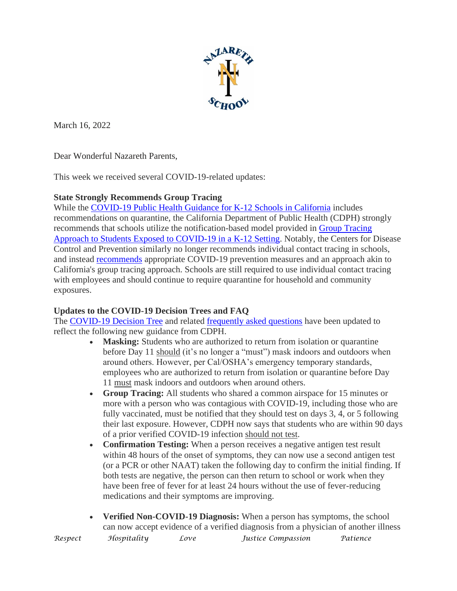

March 16, 2022

Dear Wonderful Nazareth Parents,

This week we received several COVID-19-related updates:

## **State Strongly Recommends Group Tracing**

While the [COVID-19](https://r20.rs6.net/tn.jsp?f=001Hi4GAOXYV7dLT7zQnZ_y2wctsL1pCE6ybo12015SLorUnhatUhMtTwbIsmMQJTgZ4XR8-OXpegeOKZ1heEuHE5xJk_0oC9nhrwklWL7Wn3UQY9kK9eyztxvQUMkOErkAjhVkU2aOQTFwx5nCNnlOtxRjymVx0jE7Z4lca-p9ClsF18QaWayCS_6gRpyOFHFRIGeg_-mhTb0fyC278adSBoXKS9au_YAESiQd8OzagV1DIEfRer80hh2vxqQGikoY&c=3hf5Ir_LBWrF0nAQ3nBfI-VoiwCOVRswGFCTFpjH2veKOoH4NC68sw==&ch=K-lcugZ4RX3PUMX8K2vhv7Li_x8Gd0AU1gc9ph3_bgj41t0Yh8A-pA==) Public Health Guidance for K-12 Schools in California includes recommendations on quarantine, the California Department of Public Health (CDPH) strongly recommends that schools utilize the notification-based model provided in Group [Tracing](https://r20.rs6.net/tn.jsp?f=001Hi4GAOXYV7dLT7zQnZ_y2wctsL1pCE6ybo12015SLorUnhatUhMtT1oDNxDFV6QsQSj1Wbk-rXKVvBlsMNeTs1e3qbTi-5jB2TsGHPt3xAmEFuCitAIS21G41nrjhBYuVKRkV6XVQz9T29w3xLDwTX2KAWGO7SZ8UQfy3Rh3TKbdOH0FZrA_dFEiuKz4fcoPpbY0qtZIhtqEpK2a3l-Q0z0qu_yf0BOlNm2mlpv5wp26wluMq7ae6xhTiliQKVUjOV4PMephQ6E7y1Ruj-eoBw==&c=3hf5Ir_LBWrF0nAQ3nBfI-VoiwCOVRswGFCTFpjH2veKOoH4NC68sw==&ch=K-lcugZ4RX3PUMX8K2vhv7Li_x8Gd0AU1gc9ph3_bgj41t0Yh8A-pA==) Approach to Students Exposed to [COVID-19](https://r20.rs6.net/tn.jsp?f=001Hi4GAOXYV7dLT7zQnZ_y2wctsL1pCE6ybo12015SLorUnhatUhMtT1oDNxDFV6QsQSj1Wbk-rXKVvBlsMNeTs1e3qbTi-5jB2TsGHPt3xAmEFuCitAIS21G41nrjhBYuVKRkV6XVQz9T29w3xLDwTX2KAWGO7SZ8UQfy3Rh3TKbdOH0FZrA_dFEiuKz4fcoPpbY0qtZIhtqEpK2a3l-Q0z0qu_yf0BOlNm2mlpv5wp26wluMq7ae6xhTiliQKVUjOV4PMephQ6E7y1Ruj-eoBw==&c=3hf5Ir_LBWrF0nAQ3nBfI-VoiwCOVRswGFCTFpjH2veKOoH4NC68sw==&ch=K-lcugZ4RX3PUMX8K2vhv7Li_x8Gd0AU1gc9ph3_bgj41t0Yh8A-pA==) in a K-12 Setting. Notably, the Centers for Disease Control and Prevention similarly no longer recommends individual contact tracing in schools, and instead [recommends](https://r20.rs6.net/tn.jsp?f=001Hi4GAOXYV7dLT7zQnZ_y2wctsL1pCE6ybo12015SLorUnhatUhMtTz2hqrhNQtfOErfgpHH0hteqV4Wyu1y6at9eWZt6PxhTPobngRwkX9l5QcOB6-zaxQTAnL62jzGVB9CQfIHkMme4kl4R9CRjLBwgwPWKbsPmrawdjospT3wmcKFBFclhG1L83AcbL4KJ3VqDItcLjTs0BH72iheh4VLxYG8QG6WC5yNGAp75LN1N_fido1x9FyQFxfJ2ztiHK2FfTE7rkfg=&c=3hf5Ir_LBWrF0nAQ3nBfI-VoiwCOVRswGFCTFpjH2veKOoH4NC68sw==&ch=K-lcugZ4RX3PUMX8K2vhv7Li_x8Gd0AU1gc9ph3_bgj41t0Yh8A-pA==) appropriate COVID-19 prevention measures and an approach akin to California's group tracing approach. Schools are still required to use individual contact tracing with employees and should continue to require quarantine for household and community exposures.

## **Updates to the COVID-19 Decision Trees and FAQ**

The [COVID-19](https://r20.rs6.net/tn.jsp?f=001Hi4GAOXYV7dLT7zQnZ_y2wctsL1pCE6ybo12015SLorUnhatUhMtTz2hqrhNQtfO_roWf-h7CR0PwbXRqa-ebco-K5AT9S9JNc-vVbKjG8qR-RDjjsB8APnehmC5AhipBp1kw9_rX59gLORUp7hgb50z0M0fo_EoeFVnokazf71axZJOY_kZM-uPl-J1SzjFau1sUCeoQ8ZsaFutPGCflmJoT36NVWe6ozv0WvG5GWsZaGkwh0AJaybk4Yhj6e4E3sD8XFKgz-OlsnTFkhtfanHHLNcTaO5z&c=3hf5Ir_LBWrF0nAQ3nBfI-VoiwCOVRswGFCTFpjH2veKOoH4NC68sw==&ch=K-lcugZ4RX3PUMX8K2vhv7Li_x8Gd0AU1gc9ph3_bgj41t0Yh8A-pA==) Decision Tree and related [frequently](https://r20.rs6.net/tn.jsp?f=001Hi4GAOXYV7dLT7zQnZ_y2wctsL1pCE6ybo12015SLorUnhatUhMtT0Jm8Zq924Tp0Kk7AJf71RgEnGrL1JfA6RYlGxd4exnv631SCVKWNqU8k2Ts589Ipe3us64fCe3FzGQKN_aW18xjrQnnNavDd08MUUmvIEDHASpkD-urDZ-JR97W5lVG2NVg_X6_lmuhEOhflKtbBoNG2PhbyZqTQW2BWqP314qVAwP48dCqAVqq7naGFMJ0_N8JZQKKOLHfT1NdyTnnocL4bHVrKV4NBCINM_T_MxTH&c=3hf5Ir_LBWrF0nAQ3nBfI-VoiwCOVRswGFCTFpjH2veKOoH4NC68sw==&ch=K-lcugZ4RX3PUMX8K2vhv7Li_x8Gd0AU1gc9ph3_bgj41t0Yh8A-pA==) asked questions have been updated to reflect the following new guidance from CDPH.

- **Masking:** Students who are authorized to return from isolation or quarantine before Day 11 should (it's no longer a "must") mask indoors and outdoors when around others. However, per Cal/OSHA's emergency temporary standards, employees who are authorized to return from isolation or quarantine before Day 11 must mask indoors and outdoors when around others.
- **Group Tracing:** All students who shared a common airspace for 15 minutes or more with a person who was contagious with COVID-19, including those who are fully vaccinated, must be notified that they should test on days 3, 4, or 5 following their last exposure. However, CDPH now says that students who are within 90 days of a prior verified COVID-19 infection should not test.
- **Confirmation Testing:** When a person receives a negative antigen test result within 48 hours of the onset of symptoms, they can now use a second antigen test (or a PCR or other NAAT) taken the following day to confirm the initial finding. If both tests are negative, the person can then return to school or work when they have been free of fever for at least 24 hours without the use of fever-reducing medications and their symptoms are improving.
- *Respect Hospitality Love Justice Compassion Patience*  • **Verified Non-COVID-19 Diagnosis:** When a person has symptoms, the school can now accept evidence of a verified diagnosis from a physician of another illness